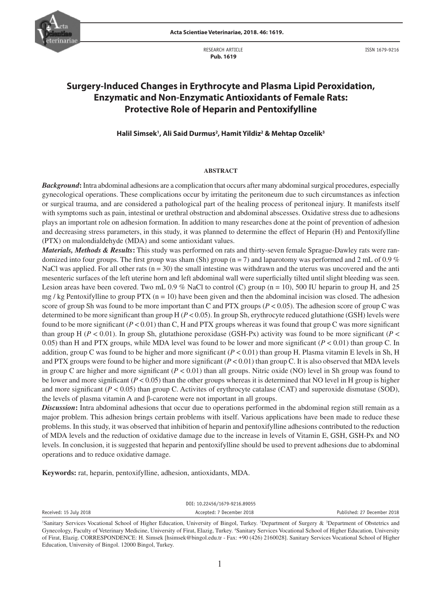

RESEARCH ARTICLE  **Pub. 1619**

ISSN 1679-9216

# **Surgery-Induced Changes in Erythrocyte and Plasma Lipid Peroxidation, Enzymatic and Non-Enzymatic Antioxidants of Female Rats: Protective Role of Heparin and Pentoxifylline**

**Halil Simsek1 , Ali Said Durmus2 , Hamit Yildiz2 & Mehtap Ozcelik3**

## **ABSTRACT**

*Background***:** Intra abdominal adhesions are a complication that occurs after many abdominal surgical procedures, especially gynecological operations. These complications occur by irritating the peritoneum due to such circumstances as infection or surgical trauma, and are considered a pathological part of the healing process of peritoneal injury. It manifests itself with symptoms such as pain, intestinal or urethral obstruction and abdominal abscesses. Oxidative stress due to adhesions plays an important role on adhesion formation. In addition to many researches done at the point of prevention of adhesion and decreasing stress parameters, in this study, it was planned to determine the effect of Heparin (H) and Pentoxifylline (PTX) on malondialdehyde (MDA) and some antioxidant values.

*Materials, Methods & Results***:** This study was performed on rats and thirty-seven female Sprague-Dawley rats were randomized into four groups. The first group was sham (Sh) group ( $n = 7$ ) and laparotomy was performed and 2 mL of 0.9 % NaCl was applied. For all other rats  $(n = 30)$  the small intestine was withdrawn and the uterus was uncovered and the anti mesenteric surfaces of the left uterine horn and left abdominal wall were superficially tilted until slight bleeding was seen. Lesion areas have been covered. Two mL 0.9 % NaCl to control (C) group ( $n = 10$ ), 500 IU heparin to group H, and 25 mg / kg Pentoxifylline to group PTX ( $n = 10$ ) have been given and then the abdominal incision was closed. The adhesion score of group Sh was found to be more important than C and PTX groups  $(P < 0.05)$ . The adhesion score of group C was determined to be more significant than group H (*P* < 0.05). In group Sh, erythrocyte reduced glutathione (GSH) levels were found to be more significant (*P* < 0.01) than C, H and PTX groups whereas it was found that group C was more significant than group H ( $P < 0.01$ ). In group Sh, glutathione peroxidase (GSH-Px) activity was found to be more significant ( $P <$ 0.05) than H and PTX groups, while MDA level was found to be lower and more significant (*P* < 0.01) than group C. In addition, group C was found to be higher and more significant  $(P < 0.01)$  than group H. Plasma vitamin E levels in Sh, H and PTX groups were found to be higher and more significant  $(P < 0.01)$  than group C. It is also observed that MDA levels in group C are higher and more significant (*P* < 0.01) than all groups. Nitric oxide (NO) level in Sh group was found to be lower and more significant (*P* < 0.05) than the other groups whereas it is determined that NO level in H group is higher and more significant  $(P < 0.05)$  than group C. Activites of erythrocyte catalase (CAT) and superoxide dismutase (SOD), the levels of plasma vitamin A and β-carotene were not important in all groups.

*Discussion***:** Intra abdominal adhesions that occur due to operations performed in the abdominal region still remain as a major problem. This adhesion brings certain problems with itself. Various applications have been made to reduce these problems. In this study, it was observed that inhibition of heparin and pentoxifylline adhesions contributed to the reduction of MDA levels and the reduction of oxidative damage due to the increase in levels of Vitamin E, GSH, GSH-Px and NO levels. In conclusion, it is suggested that heparin and pentoxifylline should be used to prevent adhesions due to abdominal operations and to reduce oxidative damage.

**Keywords:** rat, heparin, pentoxifylline, adhesion, antioxidants, MDA.

| DOI: 10.22456/1679-9216.89055 |                           |                             |  |  |  |
|-------------------------------|---------------------------|-----------------------------|--|--|--|
| Received: 15 July 2018        | Accepted: 7 December 2018 | Published: 27 December 2018 |  |  |  |
|                               |                           |                             |  |  |  |

Sanitary Services Vocational School of Higher Education, University of Bingol, Turkey. <sup>2</sup>Department of Surgery & <sup>3</sup>Department of Obstetrics and Gynecology, Faculty of Veterinary Medicine, University of Firat, Elazig, Turkey. 4 Sanitary Services Vocational School of Higher Education, University of Firat, Elazig. CORRESPONDENCE: H. Simsek [hsimsek@bingol.edu.tr - Fax: +90 (426) 2160028]. Sanitary Services Vocational School of Higher Education, University of Bingol. 12000 Bingol, Turkey.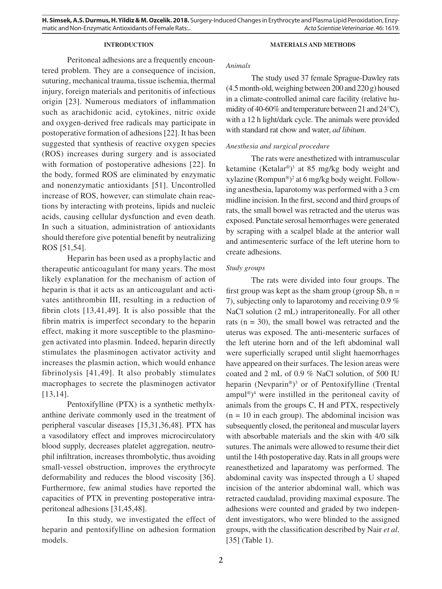# **INTRODUCTION**

## **MATERIALS AND METHODS**

Peritoneal adhesions are a frequently encountered problem. They are a consequence of incision, suturing, mechanical trauma, tissue ischemia, thermal injury, foreign materials and peritonitis of infectious origin [23]. Numerous mediators of inflammation such as arachidonic acid, cytokines, nitric oxide and oxygen-derived free radicals may participate in postoperative formation of adhesions [22]. It has been suggested that synthesis of reactive oxygen species (ROS) increases during surgery and is associated with formation of postoperative adhesions [22]. In the body, formed ROS are eliminated by enzymatic and nonenzymatic antioxidants [51]. Uncontrolled increase of ROS, however, can stimulate chain reactions by interacting with proteins, lipids and nucleic acids, causing cellular dysfunction and even death. In such a situation, administration of antioxidants should therefore give potential benefit by neutralizing ROS [51,54].

Heparin has been used as a prophylactic and therapeutic anticoagulant for many years. The most likely explanation for the mechanism of action of heparin is that it acts as an anticoagulant and activates antithrombin III, resulting in a reduction of fibrin clots [13,41,49]. It is also possible that the fibrin matrix is imperfect secondary to the heparin effect, making it more susceptible to the plasminogen activated into plasmin. Indeed, heparin directly stimulates the plasminogen activator activity and increases the plasmin action, which would enhance fibrinolysis [41,49]. It also probably stimulates macrophages to secrete the plasminogen activator [13,14].

Pentoxifylline (PTX) is a synthetic methylxanthine derivate commonly used in the treatment of peripheral vascular diseases [15,31,36,48]. PTX has a vasodilatory effect and improves microcirculatory blood supply, decreases platelet aggregation, neutrophil infiltration, increases thrombolytic, thus avoiding small-vessel obstruction, improves the erythrocyte deformability and reduces the blood viscosity [36]. Furthermore, few animal studies have reported the capacities of PTX in preventing postoperative intraperitoneal adhesions [31,45,48].

In this study, we investigated the effect of heparin and pentoxifylline on adhesion formation models.

## *Animals*

The study used 37 female Sprague-Dawley rats (4.5 month-old, weighing between 200 and 220 g) housed in a climate-controlled animal care facility (relative humidity of 40-60% and temperature between 21 and 24°C), with a 12 h light/dark cycle. The animals were provided with standard rat chow and water, *ad libitum*.

# *Anesthesia and surgical procedure*

The rats were anesthetized with intramuscular ketamine (Ketalar®)<sup>1</sup> at 85 mg/kg body weight and xylazine (Rompun®) 2 at 6 mg/kg body weight. Following anesthesia, laparotomy was performed with a 3 cm midline incision. In the first, second and third groups of rats, the small bowel was retracted and the uterus was exposed. Punctate serosal hemorrhages were generated by scraping with a scalpel blade at the anterior wall and antimesenteric surface of the left uterine horn to create adhesions.

# *Study groups*

The rats were divided into four groups. The first group was kept as the sham group (group Sh,  $n =$ 7), subjecting only to laparotomy and receiving 0.9 % NaCl solution (2 mL) intraperitoneally. For all other rats  $(n = 30)$ , the small bowel was retracted and the uterus was exposed. The anti-mesenteric surfaces of the left uterine horn and of the left abdominal wall were superficially scraped until slight haemorrhages have appeared on their surfaces. The lesion areas were coated and 2 mL of 0.9 % NaCl solution, of 500 IU heparin (Nevparin®)<sup>3</sup> or of Pentoxifylline (Trental  $ampul^{\circledR})$ <sup>4</sup> were instilled in the peritoneal cavity of animals from the groups C, H and PTX, respectively  $(n = 10)$  in each group). The abdominal incision was subsequently closed, the peritoneal and muscular layers with absorbable materials and the skin with 4/0 silk sutures. The animals were allowed to resume their diet until the 14th postoperative day. Rats in all groups were reanesthetized and laparatomy was performed. The abdominal cavity was inspected through a U shaped incision of the anterior abdominal wall, which was retracted caudalad, providing maximal exposure. The adhesions were counted and graded by two independent investigators, who were blinded to the assigned groups, with the classification described by Nair *et al*. [35] (Table 1).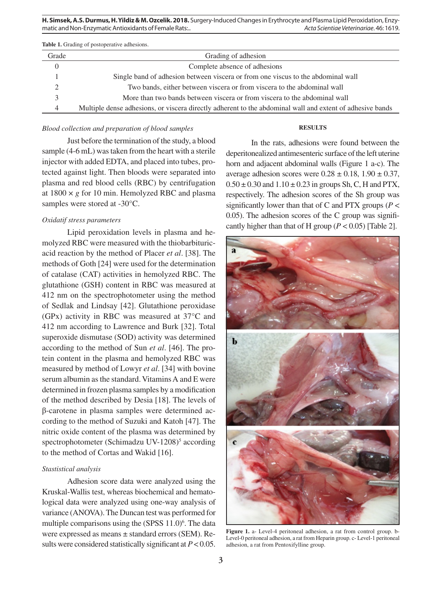| <b>Table 1.</b> Grading of postoperative adhesions. |                                                                                                           |  |  |  |
|-----------------------------------------------------|-----------------------------------------------------------------------------------------------------------|--|--|--|
| Grade                                               | Grading of adhesion                                                                                       |  |  |  |
| $\Omega$                                            | Complete absence of adhesions                                                                             |  |  |  |
|                                                     | Single band of adhesion between viscera or from one viscus to the abdominal wall                          |  |  |  |
| $\mathcal{D}$                                       | Two bands, either between viscera or from viscera to the abdominal wall                                   |  |  |  |
|                                                     | More than two bands between viscera or from viscera to the abdominal wall                                 |  |  |  |
| 4                                                   | Multiple dense adhesions, or viscera directly adherent to the abdominal wall and extent of adhesive bands |  |  |  |

## *Blood collection and preparation of blood samples*

#### **RESULTS**

Just before the termination of the study, a blood sample (4-6 mL) was taken from the heart with a sterile injector with added EDTA, and placed into tubes, protected against light. Then bloods were separated into plasma and red blood cells (RBC) by centrifugation at  $1800 \times g$  for 10 min. Hemolyzed RBC and plasma samples were stored at -30°C.

# *Oxidatif stress parameters*

Lipid peroxidation levels in plasma and hemolyzed RBC were measured with the thiobarbituricacid reaction by the method of Placer *et al*. [38]. The methods of Goth [24] were used for the determination of catalase (CAT) activities in hemolyzed RBC. The glutathione (GSH) content in RBC was measured at 412 nm on the spectrophotometer using the method of Sedlak and Lindsay [42]. Glutathione peroxidase (GPx) activity in RBC was measured at 37°C and 412 nm according to Lawrence and Burk [32]. Total superoxide dismutase (SOD) activity was determined according to the method of Sun *et al*. [46]. The protein content in the plasma and hemolyzed RBC was measured by method of Lowyr *et al*. [34] with bovine serum albumin as the standard. Vitamins A and E were determined in frozen plasma samples by a modification of the method described by Desia [18]. The levels of β-carotene in plasma samples were determined according to the method of Suzuki and Katoh [47]. The nitric oxide content of the plasma was determined by spectrophotometer (Schimadzu UV-1208)<sup>5</sup> according to the method of Cortas and Wakid [16].

## *Stastistical analysis*

Adhesion score data were analyzed using the Kruskal-Wallis test, whereas biochemical and hematological data were analyzed using one-way analysis of variance (ANOVA). The Duncan test was performed for multiple comparisons using the (SPSS 11.0)<sup>6</sup>. The data were expressed as means ± standard errors (SEM). Results were considered statistically significant at *P* < 0.05.

In the rats, adhesions were found between the deperitonealized antimesenteric surface of the left uterine horn and adjacent abdominal walls (Figure 1 a-c). The average adhesion scores were  $0.28 \pm 0.18$ ,  $1.90 \pm 0.37$ ,  $0.50 \pm 0.30$  and  $1.10 \pm 0.23$  in groups Sh, C, H and PTX, respectively. The adhesion scores of the Sh group was significantly lower than that of C and PTX groups ( $P <$ 0.05). The adhesion scores of the C group was significantly higher than that of H group  $(P < 0.05)$  [Table 2].



**Figure 1.** a- Level-4 peritoneal adhesion, a rat from control group. b-Level-0 peritoneal adhesion, a rat from Heparin group. c- Level-1 peritoneal adhesion, a rat from Pentoxifylline group.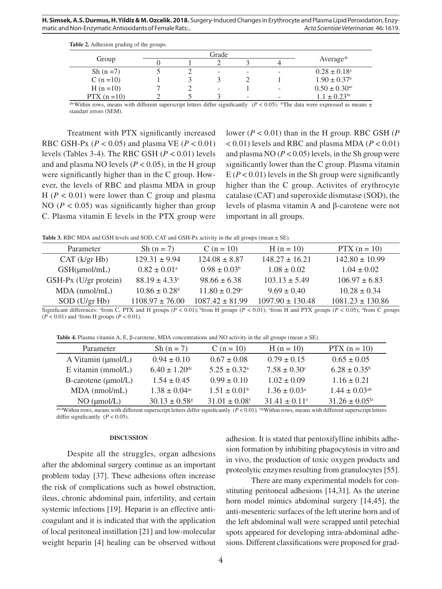| Table 2. Adhesion grading of the groups. |  |  |
|------------------------------------------|--|--|
|------------------------------------------|--|--|

|                | Grade |  |                          |   |   |                              |
|----------------|-------|--|--------------------------|---|---|------------------------------|
| Group          |       |  |                          |   |   | Average $*$                  |
| Sh $(n=7)$     |       |  | $\overline{\phantom{a}}$ | - | - | $0.28 \pm 0.18^{\circ}$      |
| C $(n=10)$     |       |  |                          |   |   | $1.90 \pm 0.37^{\rm b}$      |
| $H(n=10)$      |       |  | -                        |   |   | $0.50 \pm 0.30^{\text{ac}}$  |
| $PTX (n = 10)$ |       |  |                          | - | - | $1.1 \pm 0.23$ <sup>bc</sup> |

abcWithin rows, means with different superscript letters differ significantly  $(P < 0.05)$ . \*The data were expressed as means  $\pm$ standart errors (SEM).

Treatment with PTX significantly increased RBC GSH-Px ( $P < 0.05$ ) and plasma VE ( $P < 0.01$ ) levels (Tables 3-4). The RBC GSH (*P* < 0.01) levels and and plasma NO levels ( $P < 0.05$ ), in the H group were significantly higher than in the C group. However, the levels of RBC and plasma MDA in group  $H$  ( $P < 0.01$ ) were lower than C group and plasma NO ( $P < 0.05$ ) was significantly higher than group C. Plasma vitamin E levels in the PTX group were

lower (*P* < 0.01) than in the H group. RBC GSH (*P*  $(0.01)$  levels and RBC and plasma MDA ( $P < 0.01$ ) and plasma NO  $(P < 0.05)$  levels, in the Sh group were significantly lower than the C group. Plasma vitamin  $E(P < 0.01)$  levels in the Sh group were significantly higher than the C group. Activites of erythrocyte catalase (CAT) and superoxide dismutase (SOD), the levels of plasma vitamin A and β-carotene were not important in all groups.

Table 3. RBC MDA and GSH levels and SOD, CAT and GSH-Px activity in the all groups (mean  $\pm$  SE).

| Parameter             | Sh $(n = 7)$                  | $C (n = 10)$             | $H(n = 10)$          | $PTX (n = 10)$       |
|-----------------------|-------------------------------|--------------------------|----------------------|----------------------|
| CAT (k/gr Hb)         | $129.31 \pm 9.94$             | $124.08 \pm 8.87$        | $148.27 \pm 16.21$   | $142.80 \pm 10.99$   |
| $GSH(\mu mol/mL)$     | $0.82 \pm 0.01^{\circ}$       | $0.98 \pm 0.03^b$        | $1.08 \pm 0.02$      | $1.04 \pm 0.02$      |
| GSH-Px (U/gr protein) | $88.19 \pm 4.33$ °            | $98.66 \pm 6.38$         | $103.13 \pm 5.49$    | $106.97 \pm 6.83$    |
| $MDA$ (nmol/mL)       | $10.86 \pm 0.28$ <sup>d</sup> | $11.80 \pm 0.29^{\circ}$ | $9.69 \pm 0.40$      | $10.28 \pm 0.34$     |
| $SOD$ (U/gr Hb)       | $1108.97 \pm 76.00$           | $1087.42 \pm 81.99$      | $1097.90 \pm 130.48$ | $1081.23 \pm 130.86$ |

Significant differences: <sup>a</sup> from C, PTX and H groups ( $P < 0.01$ ); <sup>b</sup> from H groups ( $P < 0.01$ ); cfrom H and PTX groups ( $P < 0.05$ ); <sup>a</sup> from C groups  $(P < 0.01)$  and <sup>e</sup>from H groups  $(P < 0.01)$ .

**Table 4.** Plasma vitamin A, E, β-carotene, MDA concentrations and NO activity in the all groups (mean ± SE).

| Parameter                      | Sh $(n = 7)$                  | C ( $n = 10$ )                | $H(n = 10)$                   | $PTX (n = 10)$                 |
|--------------------------------|-------------------------------|-------------------------------|-------------------------------|--------------------------------|
| A Vitamin $(\mu \text{mol/L})$ | $0.94 \pm 0.10$               | $0.67 \pm 0.08$               | $0.79 \pm 0.15$               | $0.65 \pm 0.05$                |
| $E$ vitamin (mmol/ $L$ )       | $6.40 \pm 1.20$ <sup>dc</sup> | $5.25 \pm 0.32^{\text{a}}$    | $7.58 \pm 0.30^{\circ}$       | $6.28 \pm 0.35^b$              |
| $B$ -carotene ( $\mu$ mol/L)   | $1.54 + 0.45$                 | $0.99 \pm 0.10$               | $1.02 \pm 0.09$               | $1.16 \pm 0.21$                |
| $MDA$ (nmol/mL)                | $1.38 \pm 0.04$ <sup>ac</sup> | $1.51 \pm 0.01^b$             | $1.36 \pm 0.03^{\circ}$       | $1.44 \pm 0.03^{ab}$           |
| NO (µmol/L)                    | $30.13 \pm 0.58$ <sup>g</sup> | $31.01 \pm 0.08$ <sup>f</sup> | $31.41 \pm 0.11$ <sup>e</sup> | $31.26 \pm 0.05$ <sup>fe</sup> |

abcdWithin rows, means with different superscript letters differ significantly  $(P < 0.01)$ . efgWithin rows, means with different superscript letters differ significantly  $(P < 0.05)$ .

# **DISCUSSION**

Despite all the struggles, organ adhesions after the abdominal surgery continue as an important problem today [37]. These adhesions often increase the risk of complications such as bowel obstruction, ileus, chronic abdominal pain, infertility, and certain systemic infections [19]. Heparin is an effective anticoagulant and it is indicated that with the application of local peritoneal instillation [21] and low-molecular weight heparin [4] healing can be observed without adhesion. It is stated that pentoxifylline inhibits adhesion formation by inhibiting phagocytosis in vitro and in vivo, the production of toxic oxygen products and proteolytic enzymes resulting from granulocytes [55].

There are many experimental models for constituting peritoneal adhesions [14,31]. As the uterine horn model mimics abdominal surgery [14,45], the anti-mesenteric surfaces of the left uterine horn and of the left abdominal wall were scrapped until petechial spots appeared for developing intra-abdominal adhesions. Different classifications were proposed for grad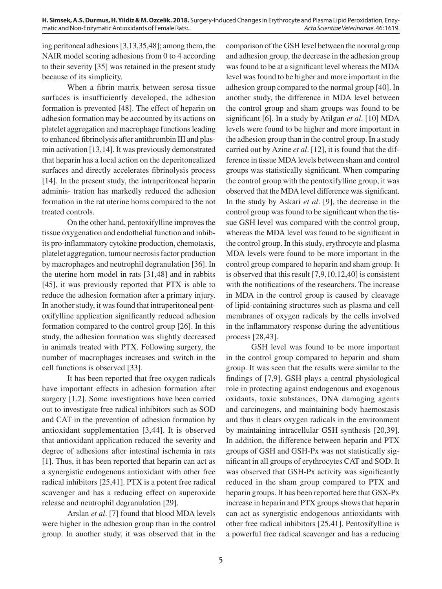ing peritoneal adhesions [3,13,35,48]; among them, the NAIR model scoring adhesions from 0 to 4 according to their severity [35] was retained in the present study because of its simplicity.

When a fibrin matrix between serosa tissue surfaces is insufficiently developed, the adhesion formation is prevented [48]. The effect of heparin on adhesion formation may be accounted by its actions on platelet aggregation and macrophage functions leading to enhanced fibrinolysis after antithrombin III and plasmin activation [13,14]. It was previously demonstrated that heparin has a local action on the deperitonealized surfaces and directly accelerates fibrinolysis process [14]. In the present study, the intraperitoneal heparin adminis- tration has markedly reduced the adhesion formation in the rat uterine horns compared to the not treated controls.

On the other hand, pentoxifylline improves the tissue oxygenation and endothelial function and inhibits pro-inflammatory cytokine production, chemotaxis, platelet aggregation, tumour necrosis factor production by macrophages and neutrophil degranulation [36]. In the uterine horn model in rats [31,48] and in rabbits [45], it was previously reported that PTX is able to reduce the adhesion formation after a primary injury. In another study, it was found that intraperitoneal pentoxifylline application significantly reduced adhesion formation compared to the control group [26]. In this study, the adhesion formation was slightly decreased in animals treated with PTX. Following surgery, the number of macrophages increases and switch in the cell functions is observed [33].

It has been reported that free oxygen radicals have important effects in adhesion formation after surgery [1,2]. Some investigations have been carried out to investigate free radical inhibitors such as SOD and CAT in the prevention of adhesion formation by antioxidant supplementation [3,44]. It is observed that antioxidant application reduced the severity and degree of adhesions after intestinal ischemia in rats [1]. Thus, it has been reported that heparin can act as a synergistic endogenous antioxidant with other free radical inhibitors [25,41]. PTX is a potent free radical scavenger and has a reducing effect on superoxide release and neutrophil degranulation [29].

Arslan *et al*. [7] found that blood MDA levels were higher in the adhesion group than in the control group. In another study, it was observed that in the comparison of the GSH level between the normal group and adhesion group, the decrease in the adhesion group was found to be at a significant level whereas the MDA level was found to be higher and more important in the adhesion group compared to the normal group [40]. In another study, the difference in MDA level between the control group and sham groups was found to be significant [6]. In a study by Atilgan *et al*. [10] MDA levels were found to be higher and more important in the adhesion group than in the control group. In a study carried out by Azine *et al*. [12], it is found that the difference in tissue MDA levels between sham and control groups was statistically significant. When comparing the control group with the pentoxifylline group, it was observed that the MDA level difference was significant. In the study by Askari *et al*. [9], the decrease in the control group was found to be significant when the tissue GSH level was compared with the control group, whereas the MDA level was found to be significant in the control group. In this study, erythrocyte and plasma MDA levels were found to be more important in the control group compared to heparin and sham group. It is observed that this result [7,9,10,12,40] is consistent with the notifications of the researchers. The increase in MDA in the control group is caused by cleavage of lipid-containing structures such as plasma and cell membranes of oxygen radicals by the cells involved in the inflammatory response during the adventitious process [28,43].

GSH level was found to be more important in the control group compared to heparin and sham group. It was seen that the results were similar to the findings of [7,9]. GSH plays a central physiological role in protecting against endogenous and exogenous oxidants, toxic substances, DNA damaging agents and carcinogens, and maintaining body haemostasis and thus it clears oxygen radicals in the environment by maintaining intracellular GSH synthesis [20,39]. In addition, the difference between heparin and PTX groups of GSH and GSH-Px was not statistically significant in all groups of erythrocytes CAT and SOD. It was observed that GSH-Px activity was significantly reduced in the sham group compared to PTX and heparin groups. It has been reported here that GSX-Px increase in heparin and PTX groups shows that heparin can act as synergistic endogenous antioxidants with other free radical inhibitors [25,41]. Pentoxifylline is a powerful free radical scavenger and has a reducing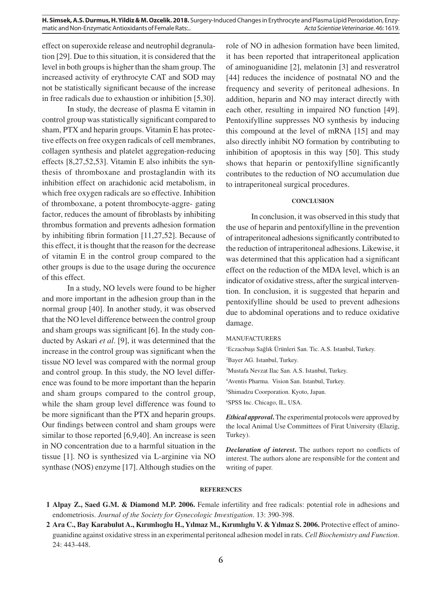effect on superoxide release and neutrophil degranulation [29]. Due to this situation, it is considered that the level in both groups is higher than the sham group. The increased activity of erythrocyte CAT and SOD may not be statistically significant because of the increase in free radicals due to exhaustion or inhibition [5,30].

In study, the decrease of plasma E vitamin in control group was statistically significant compared to sham, PTX and heparin groups. Vitamin E has protective effects on free oxygen radicals of cell membranes, collagen synthesis and platelet aggregation-reducing effects [8,27,52,53]. Vitamin E also inhibits the synthesis of thromboxane and prostaglandin with its inhibition effect on arachidonic acid metabolism, in which free oxygen radicals are so effective. Inhibition of thromboxane, a potent thrombocyte-aggre- gating factor, reduces the amount of fibroblasts by inhibiting thrombus formation and prevents adhesion formation by inhibiting fibrin formation [11,27,52]. Because of this effect, it is thought that the reason for the decrease of vitamin E in the control group compared to the other groups is due to the usage during the occurence of this effect.

In a study, NO levels were found to be higher and more important in the adhesion group than in the normal group [40]. In another study, it was observed that the NO level difference between the control group and sham groups was significant [6]. In the study conducted by Askari *et al*. [9], it was determined that the increase in the control group was significant when the tissue NO level was compared with the normal group and control group. In this study, the NO level difference was found to be more important than the heparin and sham groups compared to the control group, while the sham group level difference was found to be more significant than the PTX and heparin groups. Our findings between control and sham groups were similar to those reported [6,9,40]. An increase is seen in NO concentration due to a harmful situation in the tissue [1]. NO is synthesized via L-arginine via NO synthase (NOS) enzyme [17]. Although studies on the role of NO in adhesion formation have been limited, it has been reported that intraperitoneal application of aminoguanidine [2], melatonin [3] and resveratrol [44] reduces the incidence of postnatal NO and the frequency and severity of peritoneal adhesions. In addition, heparin and NO may interact directly with each other, resulting in impaired NO function [49]. Pentoxifylline suppresses NO synthesis by inducing this compound at the level of mRNA [15] and may also directly inhibit NO formation by contributing to inhibition of apoptosis in this way [50]. This study shows that heparin or pentoxifylline significantly contributes to the reduction of NO accumulation due to intraperitoneal surgical procedures.

# **CONCLUSION**

In conclusion, it was observed in this study that the use of heparin and pentoxifylline in the prevention of intraperitoneal adhesions significantly contributed to the reduction of intraperitoneal adhesions. Likewise, it was determined that this application had a significant effect on the reduction of the MDA level, which is an indicator of oxidative stress, after the surgical intervention. In conclusion, it is suggested that heparin and pentoxifylline should be used to prevent adhesions due to abdominal operations and to reduce oxidative damage.

#### MANUFACTURERS

 Eczacıbaşı Sağlık Ürünleri San. Tic. A.S. Istanbul, Turkey. Bayer AG. Istanbul, Turkey. Mustafa Nevzat Ilac San. A.S. Istanbul, Turkey. Aventis Pharma. Vision San. Istanbul, Turkey. Shimadzu Coorporation. Kyoto, Japan.

6 SPSS Inc. Chicago, IL, USA.

*Ethical approval***.** The experimental protocols were approved by the local Animal Use Committees of Firat University (Elazig, Turkey).

*Declaration of interest***.** The authors report no conflicts of interest. The authors alone are responsible for the content and writing of paper.

### **REFERENCES**

- **1 Alpay Z., Saed G.M. & Diamond M.P. 2006.** Female infertility and free radicals: potential role in adhesions and endometriosis. *Journal of the Society for Gynecologic Investigation*. 13: 390-398.
- **2 Ara C., Bay Karabulut A., Kırımlıoglu H., Yılmaz M., Kırımlıglu V. & Yılmaz S. 2006.** Protective effect of aminoguanidine against oxidative stress in an experimental peritoneal adhesion model in rats. *Cell Biochemistry and Function*. 24: 443-448.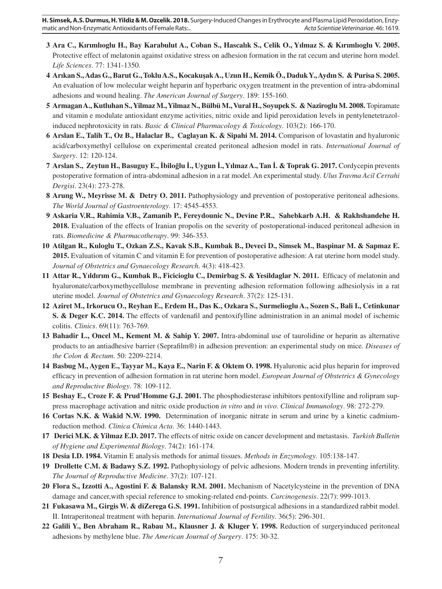- **3 Ara C., Kırımlıoglu H., Bay Karabulut A., Coban S., Hascalık S., Celik O., Yılmaz S. & Kırımlıoglu V. 2005.** Protective effect of melatonin against oxidative stress on adhesion formation in the rat cecum and uterine horn model. *Life Sciences*. 77: 1341-1350.
- **4 Arıkan S., Adas G., Barut G., Toklu A.S., Kocakuşak A., Uzun H., Kemik Ö., Daduk Y., Aydın S. & Purisa S. 2005.** An evaluation of low molecular weight heparin anf hyperbaric oxygen treatment in the prevention of intra-abdominal adhesions and wound healing. *The American Journal of Surgery*. 189: 155-160.
- **5 Armagan A., Kutluhan S., Yilmaz M., Yilmaz N., Bülbü M., Vural H., Soyupek S. & Naziroglu M. 2008.** Topiramate and vitamin e modulate antioxidant enzyme activities, nitric oxide and lipid peroxidation levels in pentylenetetrazolinduced nephrotoxicity in rats. *Basic & Clinical Pharmacology & Toxicology*. 103(2): 166-170.
- **6 Arslan E., Talih T., Oz B., Halaclar B., Caglayan K. & Sipahi M. 2014.** Comparison of lovastatin and hyaluronic acid/carboxymethyl cellulose on experimental created peritoneal adhesion model in rats. *International Journal of Surgery*. 12: 120-124.
- **7 Arslan S., Zeytun H., Basuguy E., İbiloğlu İ., Uygun İ., Yılmaz A., Tan İ. & Toprak G. 2017.** Cordycepin prevents postoperative formation of intra-abdominal adhesion in a rat model. An experimental study. *Ulus Travma Acil Cerrahi Dergisi*. 23(4): 273-278.
- **8 Arung W., Meyrisse M. & Detry O. 2011.** Pathophysiology and prevention of postoperative peritoneal adhesions. *The World Journal of Gastroenterology*. 17: 4545-4553.
- **9 Askaria V.R., Rahimia V.B., Zamanib P., Fereydounic N., Devine P.R., Sahebkarb A.H. & Rakhshandehe H. 2018.** Evaluation of the effects of Iranian propolis on the severity of postoperational-induced peritoneal adhesion in rats. *Biomedicine & Pharmacotherapy*. 99: 346-353.
- **10 Atilgan R., Kuloglu T., Ozkan Z.S., Kavak S.B., Kumbak B., Deveci D., Simsek M., Baspinar M. & Sapmaz E. 2015.** Evaluation of vitamin C and vitamin E for prevention of postoperative adhesion: A rat uterine horn model study. *Journal of Obstetrics and Gynaecology Research*. 4(3): 418-423.
- **11 Attar R., Yıldırım G., Kumbak B., Ficicioglu C., Demirbag S. & Yesildaglar N. 2011.** Efficacy of melatonin and hyaluronate/carboxymethycellulose membrane in preventing adhesion reformation following adhesiolysis in a rat uterine model. *Journal of Obstetrics and Gynaecology Research*. 37(2): 125-131.
- **12 Aziret M., Irkorucu O., Reyhan E., Erdem H., Das K., Ozkara S., Surmelioglu A., Sozen S., Bali I., Cetinkunar S. & Deger K.C. 2014.** The effects of vardenafil and pentoxifylline administration in an animal model of ischemic colitis. *Clinics*. 69(11): 763-769.
- **13 Bahadir L., Oncel M., Kement M. & Sahip Y. 2007.** Intra-abdominal use of taurolidine or heparin as alternative products to an antiadhesive barrier (Seprafilm®) in adhesion prevention: an experimental study on mice. *Diseases of the Colon & Rectum*. 50: 2209-2214.
- **14 Basbug M., Aygen E., Tayyar M., Kaya E., Narin F. & Oktem O. 1998.** Hyaluronic acid plus heparin for improved efficacy in prevention of adhesion formation in rat uterine horn model. *European Journal of Obstetrics & Gynecology and Reproductive Biology*. 78: 109-112.
- **15 Beshay E., Croze F. & Prud'Homme G.J. 2001.** The phosphodiesterase inhibitors pentoxifylline and rolipram suppress macrophage activation and nitric oxide production *in vitro* and *in vivo*. *Clinical Immunology*. 98: 272-279.
- **16 Cortas N.K. & Wakid N.W. 1990.** Determination of inorganic nitrate in serum and urine by a kinetic cadmiumreduction method. *Clinica Chimica Acta*. 36: 1440-1443.
- **17 Derici M.K. & Yilmaz E.D. 2017.** The effects of nitric oxide on cancer development and metastasis. *Turkish Bulletin of Hygiene and Experimental Biology*. 74(2): 161-174.
- **18 Desia I.D. 1984.** Vitamin E analysis methods for animal tissues. *Methods in Enzymology*. 105:138-147.
- **19 Drollette C.M. & Badawy S.Z. 1992.** Pathophysiology of pelvic adhesions. Modern trends in preventing infertility. *The Journal of Reproductive Medicine*. 37(2): 107-121.
- **20 Flora S., Izzotti A., Agostini F. & Balansky R.M. 2001.** Mechanism of Nacetylcysteine in the prevention of DNA damage and cancer,with special reference to smoking-related end-points. *Carcinogenesis*. 22(7): 999-1013.
- **21 Fukasawa M., Girgis W. & diZerega G.S. 1991.** Inhibition of postsurgical adhesions in a standardized rabbit model. II. Intraperitoneal treatment with heparin. *International Journal of Fertility*. 36(5): 296-301.
- **22 Galili Y., Ben Abraham R., Rabau M., Klausner J. & Kluger Y. 1998.** Reduction of surgeryinduced peritoneal adhesions by methylene blue. *The American Journal of Surgery*. 175: 30-32.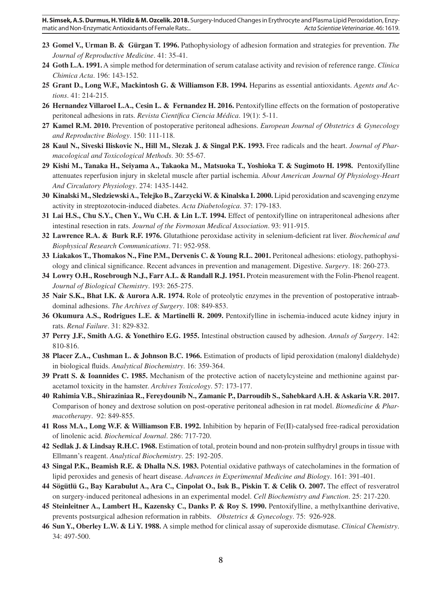- **23 Gomel V., Urman B. & Gürgan T. 1996.** Pathophysiology of adhesion formation and strategies for prevention. *The Journal of Reproductive Medicine*. 41: 35-41.
- **24 Goth L.A. 1991.** A simple method for determination of serum catalase activity and revision of reference range. *Clinica Chimica Acta*. 196: 143-152.
- **25 Grant D., Long W.F., Mackintosh G. & Williamson F.B. 1994.** Heparins as essential antioxidants. *Agents and Actions*. 41: 214-215.
- **26 Hernandez Villaroel L.A., Cesin L. & Fernandez H. 2016.** Pentoxifylline effects on the formation of postoperative peritoneal adhesions in rats. *Revista Científica Ciencia Médica*. 19(1): 5-11.
- **27 Kamel R.M. 2010.** Prevention of postoperative peritoneal adhesions. *European Journal of Obstetrics & Gynecology and Reproductive Biology*. 150: 111-118.
- **28 Kaul N., Siveski Iliskovic N., Hill M., Slezak J. & Singal P.K. 1993.** Free radicals and the heart. *Journal of Pharmacological and Toxicological Methods*. 30: 55-67.
- **29 Kishi M., Tanaka H., Seiyama A., Takaoka M., Matsuoka T., Yoshioka T. & Sugimoto H. 1998.** Pentoxifylline attenuates reperfusion injury in skeletal muscle after partial ischemia. *About American Journal Of Physiology-Heart And Circulatory Physiology*. 274: 1435-1442.
- **30 Kinalski M., Sledziewski A., Telejko B., Zarzycki W. & Kinalska I. 2000.** Lipid peroxidation and scavenging enzyme activity in streptozotocin-induced diabetes. *Acta Diabetologica*. 37: 179-183.
- **31 Lai H.S., Chu S.Y., Chen Y., Wu C.H. & Lin L.T. 1994.** Effect of pentoxifylline on intraperitoneal adhesions after intestinal resection in rats. *Journal of the Formosan Medical Association*. 93: 911-915.
- **32 Lawrence R.A. & Burk R.F. 1976.** Glutathione peroxidase activity in selenium-deficient rat liver. *Biochemical and Biophysical Research Communications*. 71: 952-958.
- **33 Liakakos T., Thomakos N., Fine P.M., Dervenis C. & Young R.L. 2001.** Peritoneal adhesions: etiology, pathophysiology and clinical significance. Recent advances in prevention and management. Digestive. *Surgery*. 18: 260-273.
- **34 Lowry O.H., Rosebrough N.J., Farr A.L. & Randall R.J. 1951.** Protein measurement with the Folin-Phenol reagent. *Journal of Biological Chemistry*. 193: 265-275.
- **35 Nair S.K., Bhat I.K. & Aurora A.R. 1974.** Role of proteolytic enzymes in the prevention of postoperative intraabdominal adhesions. *The Archives of Surgery*. 108: 849-853.
- **36 Okumura A.S., Rodrigues L.E. & Martinelli R. 2009.** Pentoxifylline in ischemia-induced acute kidney injury in rats. *Renal Failure*. 31: 829-832.
- **37 Perry J.F., Smith A.G. & Yonethiro E.G. 1955.** Intestinal obstruction caused by adhesion. *Annals of Surgery*. 142: 810-816.
- **38 Placer Z.A., Cushman L. & Johnson B.C. 1966.** Estimation of products of lipid peroxidation (malonyl dialdehyde) in biological fluids. *Analytical Biochemistry*. 16: 359-364.
- **39 Pratt S. & Ioannides C. 1985.** Mechanism of the protective action of nacetylcysteine and methionine against paracetamol toxicity in the hamster. *Archives Toxicology*. 57: 173-177.
- **40 Rahimia V.B., Shiraziniaa R., Fereydounib N., Zamanic P., Darroudib S., Sahebkard A.H. & Askaria V.R. 2017.** Comparison of honey and dextrose solution on post-operative peritoneal adhesion in rat model. *Biomedicine & Pharmacotherapy*. 92: 849-855.
- **41 Ross M.A., Long W.F. & Williamson F.B. 1992.** Inhibition by heparin of Fe(II)-catalysed free-radical peroxidation of linolenic acid. *Biochemical Journal*. 286: 717-720.
- **42 Sedlak J. & Lindsay R.H.C. 1968.** Estimation of total, protein bound and non-protein sulfhydryl groups in tissue with Ellmann's reagent. *Analytical Biochemistry*. 25: 192-205.
- **43 Singal P.K., Beamish R.E. & Dhalla N.S. 1983.** Potential oxidative pathways of catecholamines in the formation of lipid peroxides and genesis of heart disease. *Advances in Experimental Medicine and Biology*. 161: 391-401.
- **44 Sögütlü G., Bay Karabulut A., Ara C., Cinpolat O., Isık B., Piskin T. & Celik O. 2007.** The effect of resveratrol on surgery-induced peritoneal adhesions in an experimental model. *Cell Biochemistry and Function*. 25: 217-220.
- **45 Steinleitner A., Lambert H., Kazensky C., Danks P. & Roy S. 1990.** Pentoxifylline, a methylxanthine derivative, prevents postsurgical adhesion reformation in rabbits. *Obstetrics & Gynecology*. 75: 926-928.
- **46 Sun Y., Oberley L.W. & Li Y. 1988.** A simple method for clinical assay of superoxide dismutase. *Clinical Chemistry*. 34: 497-500.